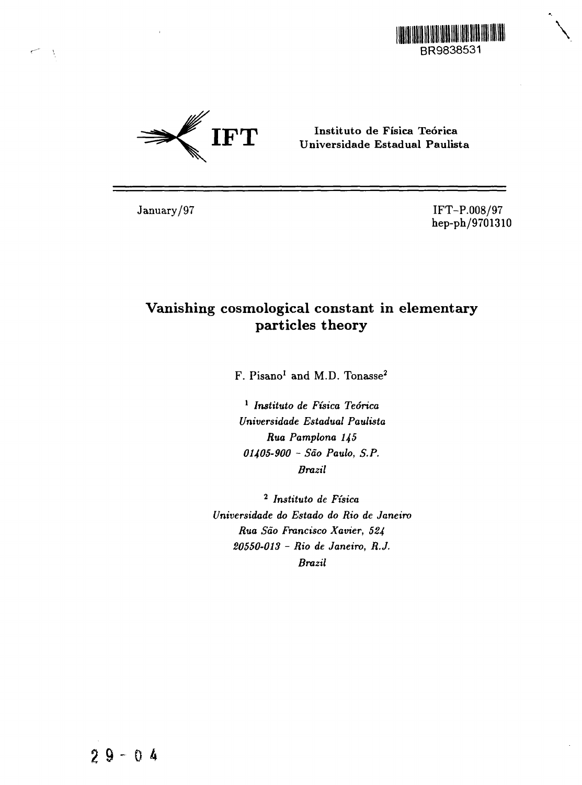



**Instituto de Fisica Teorica** Universidade **Estadual Paulista**

January/97 IFT-P.008/97 hep-ph/9701310

# Vanishing cosmological constant in elementary particles theory

 $F.$   $Pisano<sup>1</sup>$  and  $M.D.$   $Tonase<sup>2</sup>$ 

1  *Instituto de Ftsica Teorica Universidade Estadual Paulista Rua Pamplona 145 01405-900 - Sao Paulo, S.P. Brazil*

<sup>2</sup> Instituto de Física *Universidade do Estado do Rio de Janeiro Rua Sao Francisco Xavier, 524 20550-013 - Rio de Janeiro, R.J. Brazil*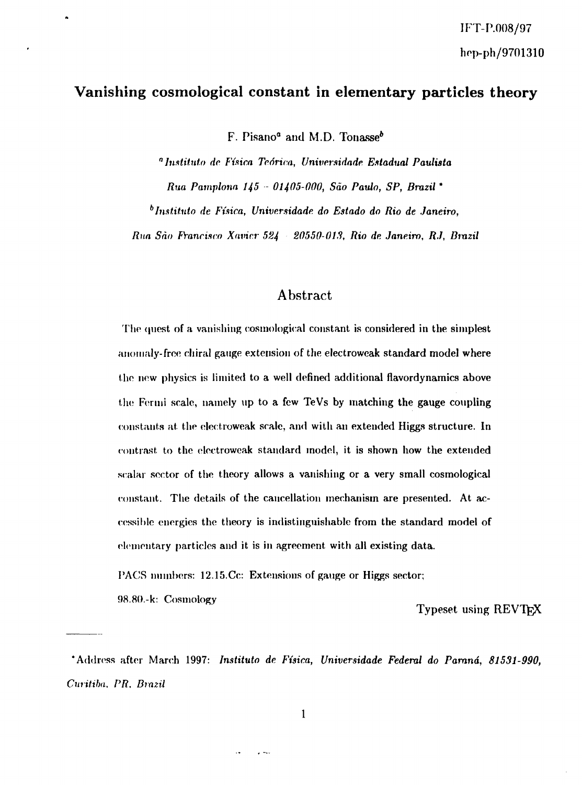## **Vanishing cosmological constant in elementary particles theory**

F. Pisano<sup>a</sup> and M.D. Tonasse<sup>b</sup>

*"Instituto do Fisica Teorica, Universidade Estadual Paulista Rua Pamplona 145 - 01405-000, Sao Paulo, SP, Brazil \** <sup>6</sup> Instituto de Física, Universidade do Estado do Rio de Janeiro,

*Run Sao PYancisco Xnvicr 524 20550-0IS, Rio de Janeiro, RJ, Brazil*

### **Abstract**

The quest of a vanishing cosmological constant is considered in the simplest anomaly-free ehiral gauge extension of the electroweak standard model where the new physics is limited to a well defined additional flavordynamics above the Fermi scale, namely up to a few TeVs by matching the gauge coupling constants at. the electroweak scale, and with an extended Higgs structure. In contrast to the electroweak standard model, it is shown how the extended scalar sector of the theory allows a vanishing or a very small cosmological constant. The details of the cancellation mechanism are presented. At accessible energies the theory is indistinguishable from the standard model of elementary particles and it is in agreement with all existing data.

PACS numbers: 12.15.Cc: Extensions of gauge or Higgs sector;

 $\overline{a}$ 

i)8.8().-k: Cosmology

Typeset using REVTEX

'Address after March 1997: *Instituto de Fisica, Universidade Federal do Parana, 81531-990, Curitiba. PR, Brazil*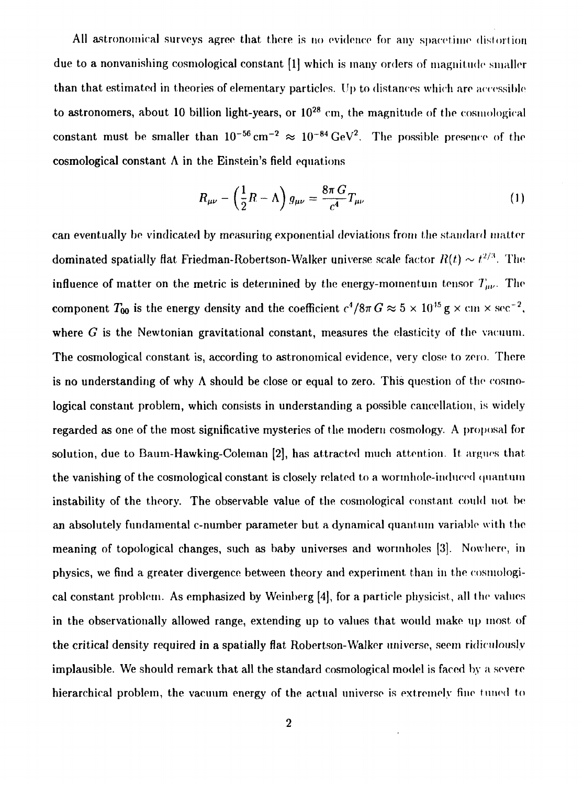All astronomical surveys agree that there is no evidence for any spacetime distortion due to a nonvanishing cosmological constant [1] which is many orders of magnitude smaller than that estimated in theories of elementary particles. Up to distances which are accessible to astronomers, about 10 billion light-years, or  $10^{28}$  cm, the magnitude of the cosmological constant must be smaller than  $10^{-56}$  cm<sup>-2</sup>  $\approx 10^{-84}$  GeV<sup>2</sup>. The possible presence of the cosmological constant  $\Lambda$  in the Einstein's field equations

$$
R_{\mu\nu} - \left(\frac{1}{2}R - \Lambda\right)g_{\mu\nu} = \frac{8\pi G}{c^4}T_{\mu\nu} \tag{1}
$$

can eventually be vindicated by measuring exponential deviations from the standard matter dominated spatially flat Friedman-Robertson-Walker universe scale factor  $R(t) \sim t^{2/3}$ . The influence of matter on the metric is determined by the energy-momentum tensor  $T_{\mu\nu}$ . The component  $T_{00}$  is the energy density and the coefficient  $c^4/8\pi G \approx 5 \times 10^{45}$  g  $\times$  cm  $\times$  sec<sup>-2</sup>, where *G* is the Newtonian gravitational constant, measures the elasticity of the vacuum. The cosmological constant is, according to astronomical evidence, very close to zero. There is no understanding of why  $\Lambda$  should be close or equal to zero. This question of the cosmological constant problem, which consists in understanding a possible cancellation, is widely regarded as one of the most significative mysteries of the modern cosmology. A proposal for solution, due to Baum-Hawking-Coleman [2], has attracted much attention. It argues that the vanishing of the cosmological constant is closely related to a wormhole-induced quantum instability of the theory. The observable value of the cosmologieal constant could not be an absolutely fundamental c-number parameter but a dynamical quantum variable with the meaning of topological changes, such as baby universes and wormholes [3]. Nowhere, in physics, we find a greater divergence between theory and experiment than in the cosmological constant problem. As emphasized by Weinberg [4], for a particle physicist, all the values in the observationally allowed range, extending up to values that would make up most of the critical density required in a spatially flat Robertson-Walker universe, seem ridiculously implausible. We should remark that all the standard cosmological model is faced by a severe hierarchical problem, the vacuum energy of the actual universe is extremely fine timed to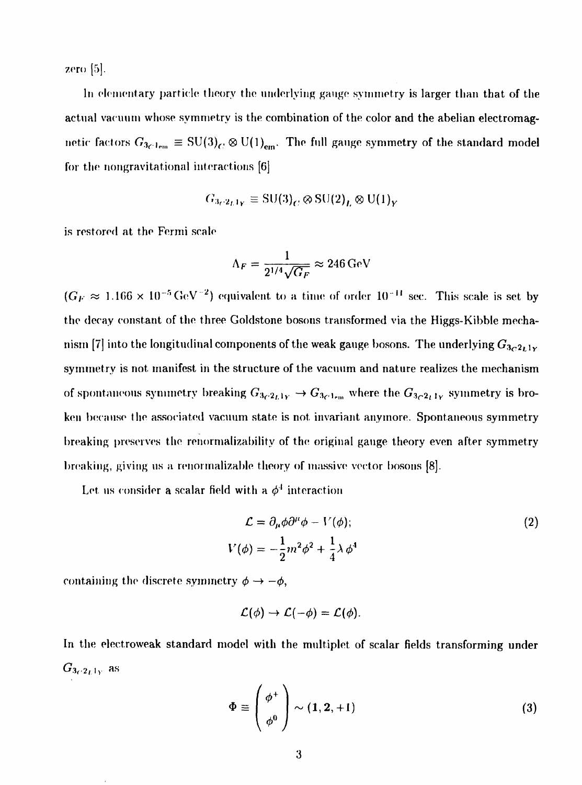zero  $[5]$ .

In elementary particle theory the underlying gauge symmetry is larger than that of the actual vacuum whose symmetry is the combination of the color and the abelian electromagnetic factors  $G_{3_C1_{\text{em}}} \equiv SU(3)_C \otimes U(1)_{\text{em}}$ . The full gauge symmetry of the standard model for the nongravitational interactions [6]

$$
G_{3c2_L1_Y} \equiv \text{SU(3)}_C \otimes \text{SU(2)}_L \otimes \text{U(1)}_Y
$$

is restored at the Fermi scale

$$
\Lambda_F = \frac{1}{2^{1/4}\sqrt{G_F}} \approx 246 \,\mathrm{GeV}
$$

 $(G_F \approx 1.166 \times 10^{-5} \,\text{GeV}^{-2})$  equivalent to a time of order  $10^{-11}$  sec. This scale is set by the decay constant of the three Goldstone bosons transformed via the Higgs-Kibble mechanism [7] into the longitudinal components of the weak gauge bosons. The underlying  $G_{3c^2L^1Y}$ symmetry is not manifest in the structure of the vacuum and nature realizes the mechanism of spontaneous symmetry breaking  $G_{3c^2L1y} \to G_{3c^2L1w}$  where the  $G_{3c^2L1y}$  symmetry is broken because the associated vacuum state is not invariant anymore. Spontaneous symmetry breaking preserves the renormalizability of the original gauge theory even after symmetry breaking, giving us a renormalizable theory of massive vector bosons [8].

Let us consider a scalar field with a  $\phi^4$  interaction

$$
\mathcal{L} = \partial_{\mu}\phi\partial^{\mu}\phi - V(\phi);
$$
\n
$$
V(\phi) = -\frac{1}{2}m^2\phi^2 + \frac{1}{4}\lambda\phi^4
$$
\n(2)

containing the discrete symmetry  $\phi \rightarrow -\phi,$ 

$$
\mathcal{L}(\phi) \to \mathcal{L}(-\phi) = \mathcal{L}(\phi).
$$

In the electroweak standard model with the multiplet of scalar fields transforming under  $G_{3_C2_L1_Y}$  as

$$
\Phi \equiv \left(\begin{array}{c} \phi^+ \\ \phi^0 \end{array}\right) \sim (1, 2, +1) \tag{3}
$$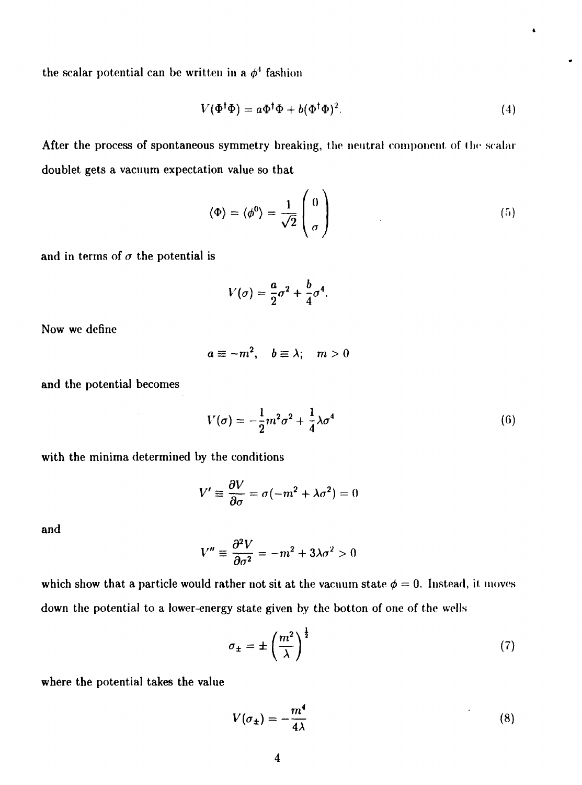the scalar potential can be written in a  $\phi^4$  fashion

$$
V(\Phi^{\dagger}\Phi) = a\Phi^{\dagger}\Phi + b(\Phi^{\dagger}\Phi)^2.
$$
 (4)

After the process of spontaneous symmetry breaking, the neutral component of the scalar doublet gets a vacuum expectation value so that

$$
\langle \Phi \rangle = \langle \phi^0 \rangle = \frac{1}{\sqrt{2}} \begin{pmatrix} 0 \\ \sigma \end{pmatrix} \tag{5}
$$

and in terms of  $\sigma$  the potential is

$$
V(\sigma) = \frac{a}{2}\sigma^2 + \frac{b}{4}\sigma^4.
$$

Now we define

$$
a\equiv -m^2,\quad b\equiv \lambda;\quad m>0
$$

and the potential becomes

$$
V(\sigma) = -\frac{1}{2}m^2\sigma^2 + \frac{1}{4}\lambda\sigma^4
$$
\n(6)

with the minima determined by the conditions

 $\sim$ 

$$
V' \equiv \frac{\partial V}{\partial \sigma} = \sigma(-m^2 + \lambda \sigma^2) = 0
$$

and

$$
V'' \equiv \frac{\partial^2 V}{\partial \sigma^2} = -m^2 + 3\lambda \sigma^2 > 0
$$

which show that a particle would rather not sit at the vacuum state  $\phi = 0$ . Instead, it moves down the potential to a lower-energy state given by the botton of one of the wells

$$
\sigma_{\pm} = \pm \left(\frac{m^2}{\lambda}\right)^{\frac{1}{2}} \tag{7}
$$

where the potential takes the value

$$
V(\sigma_{\pm}) = -\frac{m^4}{4\lambda} \tag{8}
$$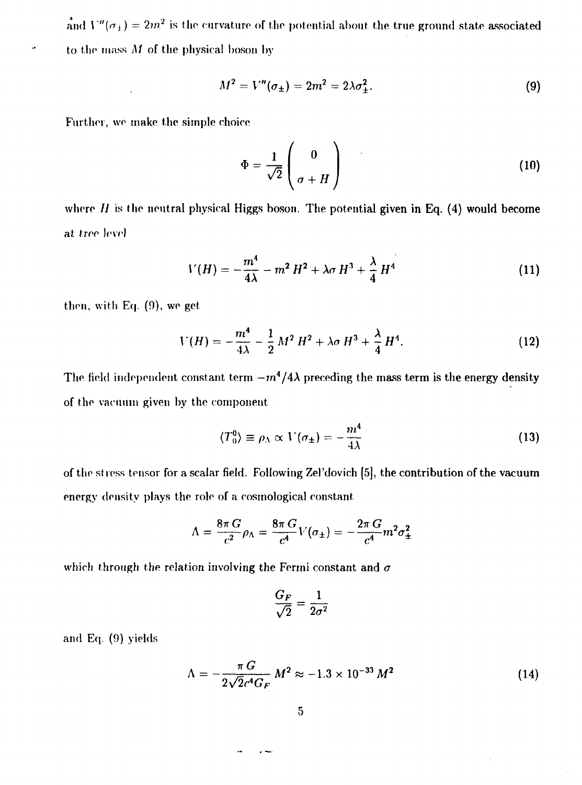and  $V''(\sigma_{\pm}) = 2m^2$  is the curvature of the potential about the true ground state associated to the mass *M* of the physical boson by

$$
M^2 = V''(\sigma_{\pm}) = 2m^2 = 2\lambda \sigma_{\pm}^2.
$$
 (9)

Further, we make the simple choice

$$
\Phi = \frac{1}{\sqrt{2}} \begin{pmatrix} 0 \\ \sigma + H \end{pmatrix} \tag{10}
$$

where  $H$  is the neutral physical Higgs boson. The potential given in Eq. (4) would become at tree level

$$
V(H) = -\frac{m^4}{4\lambda} - m^2 H^2 + \lambda \sigma H^3 + \frac{\lambda}{4} H^4
$$
 (11)

then, with Eq. (9), we get

$$
V(H) = -\frac{m^4}{4\lambda} - \frac{1}{2} M^2 H^2 + \lambda \sigma H^3 + \frac{\lambda}{4} H^4.
$$
 (12)

The field independent constant term  $-m^4/4\lambda$  preceding the mass term is the energy density of the vacuum given by the component

$$
\langle T_0^0 \rangle \equiv \rho_\Lambda \propto V(\sigma_\pm) = -\frac{m^4}{4\lambda} \tag{13}
$$

of the stress tensor for a scalar field. Following Zel'dovich [5], the contribution of the vacuum energy density plays the role of a eosmological constant

$$
\Lambda = \frac{8\pi G}{c^2} \rho_{\Lambda} = \frac{8\pi G}{c^4} V(\sigma_{\pm}) = -\frac{2\pi G}{c^4} m^2 \sigma_{\pm}^2
$$

which through the relation involving the Fermi constant and  $\sigma$ 

$$
\frac{G_F}{\sqrt{2}}=\frac{1}{2\sigma^2}
$$

and *Eq.* (9) yields

$$
\Lambda = -\frac{\pi G}{2\sqrt{2}c^4 G_F} M^2 \approx -1.3 \times 10^{-33} M^2 \tag{14}
$$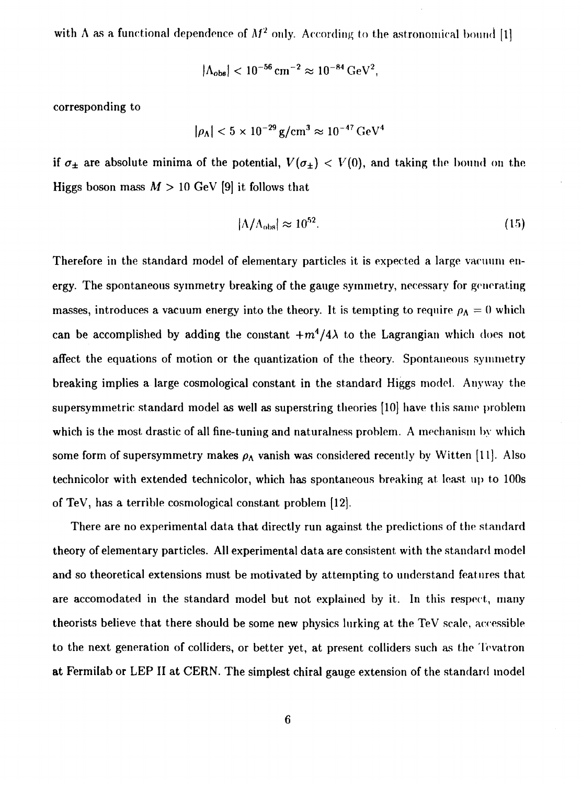with  $\Lambda$  as a functional dependence of  $M^2$  only. According to the astronomical bound [1]

$$
|\Lambda_{obs}| < 10^{-56}\,cm^{-2} \approx 10^{-84}\,GeV^2,
$$

corresponding to

$$
|\rho_\Lambda| < 5 \times 10^{-29} \, \mathrm{g/cm^3} \approx 10^{-47} \, \mathrm{GeV^4}
$$

if  $\sigma_{\pm}$  are absolute minima of the potential,  $V(\sigma_{\pm}) < V(0)$ , and taking the bound on the Higgs boson mass  $M > 10$  GeV [9] it follows that

$$
|\Lambda/\Lambda_{\rm obs}| \approx 10^{52}.\tag{15}
$$

Therefore in the standard model of elementary particles it is expected a large vacuum energy. The spontaneous symmetry breaking of the gauge symmetry, necessary for generating masses, introduces a vacuum energy into the theory. It is tempting to require  $\rho_{\Lambda} = 0$  which can be accomplished by adding the constant  $+m^4/4\lambda$  to the Lagrangian which does not affect the equations of motion or the quantization of the theory. Spontaneous symmetry breaking implies a large cosmological constant in the standard Higgs model. Anyway the supersymrnetric standard model as well as superstring theories [10] have this same problem which is the most drastic of all fine-tuning and naturalness problem. A mechanism by which some form of supersymmetry makes  $\rho_A$  vanish was considered recently by Witten [11]. Also technicolor with extended technicolor, which has spontaneous breaking at least up to 100s of TeV, has a terrible cosmological constant problem [12].

There are no experimental data that directly run against the predictions of the standard theory of elementary particles. All experimental data are consistent with the standard model and so theoretical extensions must be motivated by attempting to understand features that are accomodated in the standard model but not explained by it. In this respect, many theorists believe that there should be some new physics lurking at the TeV scale, accessible to the next generation of colliders, or better yet, at present colliders such as the Tevatron at Fermilab or LEP II at CERN. The simplest chiral gauge extension of the standard model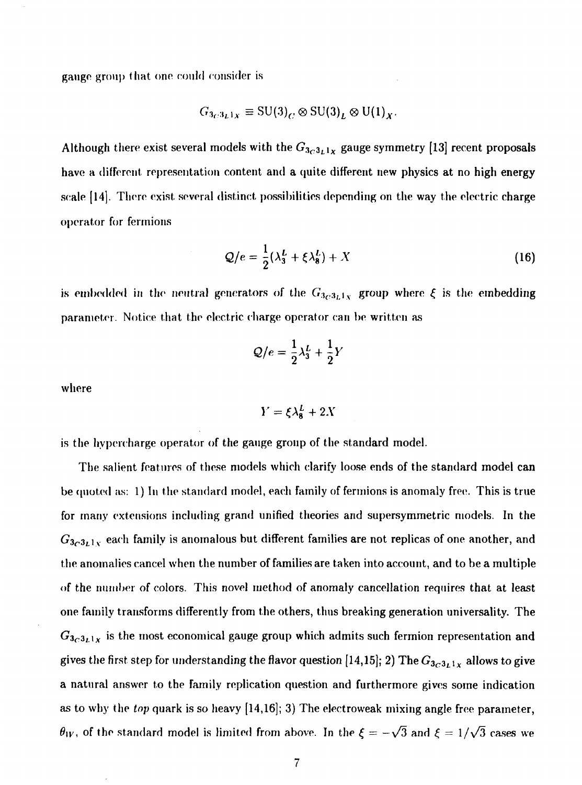gauge group that one could consider is

$$
G_{3_C3_L1_X} \equiv \text{SU(3)}_C \otimes \text{SU(3)}_L \otimes \text{U(1)}_X.
$$

Although there exist several models with the  $G_{3c^3L^1x}$  gauge symmetry [13] recent proposals have a different representation content and a quite different new physics at no high energy scale [14]. There exist several distinct possibilities depending on the way the electric charge operator for fermions

$$
Q/e = \frac{1}{2}(\lambda_3^L + \xi \lambda_8^L) + X \tag{16}
$$

is embedded in the neutral generators of the  $G_{3_C 3_L 1_X}$  group where  $\xi$  is the em<mark>bedding</mark> parameter. Notice that the electric charge operator can be written as

$$
Q/e = \frac{1}{2}\lambda_3^L + \frac{1}{2}Y
$$

where

$$
Y = \xi \lambda_8^L + 2X
$$

is the hypcrcharge operator of the gauge group of the standard model.

The salient features of these models which clarify loose ends of the standard model can be quoted as: I) In the standard model, each family of fermions is anomaly free. This is true for many extensions including grand unified theories and supersymmetric models. In the  $G_{3_C3_L1_X}$  each family is anomalous but different families <mark>a</mark>re not replicas of one another, and the anomalies cancel when the number of families are taken into account, and to be a multiple of the number of colors. This novel method of anomaly cancellation requires that at least one family transforms differently from the others, thus breaking generation universality. The  $G_{3c^3L^1x}$  is the most economical gauge group which admits such fermion representation and gives the first step for understanding the flavor question [14,15]; 2) The  $G_{3c3_L1x}$  allows to give a natural answer to the family replication question and furthermore gives some indication as to why the *top* quark is so heavy [14,16]; 3) The electroweak mixing angle free parameter,  $\theta_{W}$ , of the standard model is limited from above. In the  $\xi = -\sqrt{3}$  and  $\xi = 1/\sqrt{3}$  cases we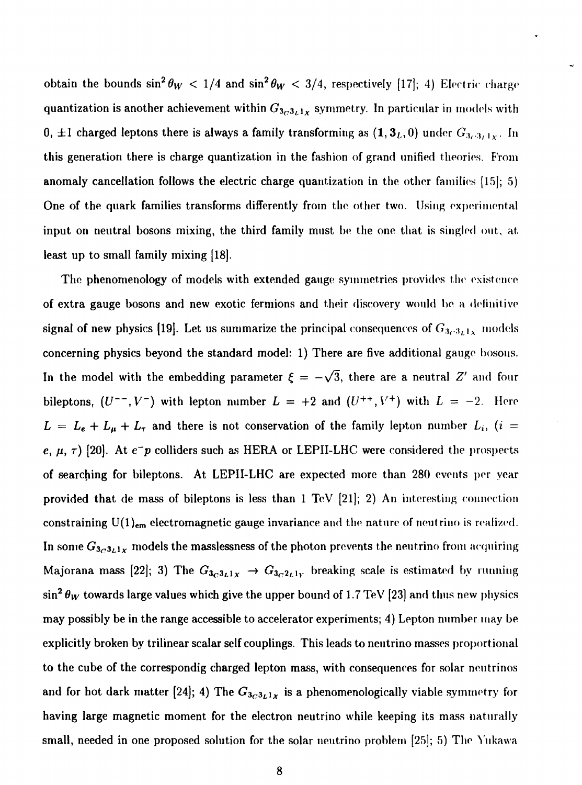obtain the bounds  $\sin^2\theta_W\ <\ 1/4$  and  $\sin^2\theta_W\ <\ 3/4,$  respectively [17]; 4) Electric charge quantization is another achievement within  $G_{3c3_L1x}$  symmetry. In particular in models with 0,  $\pm 1$  charged leptons there is always a family transforming as  $(1,3_L,0)$  under  $G_{3_C,3_L,1_X}$ . In this generation there is charge quantization in the fashion of grand unified theories. From anomaly cancellation follows the electric charge quantization in the other families [15]; 5) One of the quark families transforms differently from the other two. Using experimental input on neutral bosons mixing, the third family must be the one that is singled out, at least up to small family mixing [18].

The phenomenology of models with extended gauge symmetries provides the existence of extra gauge bosons and new exotic fermions and their discovery would be a delinitive signal of new physics [19]. Let us summarize the principal consequences of  $G_{3c^3L^3x}$  models concerning physics beyond the standard model: 1) There are five additional gauge bosons. In the model with the embedding parameter  $\xi = -\sqrt{3}$ , there are a neutral Z' and four bileptons,  $(U^{--}, V^{-})$  with lepton number  $L = +2$  and  $(U^{++}, V^{+})$  with  $L = -2$ . Here  $L = L_e + L_\mu + L_\tau$  and there is not conservation of the family lepton number  $L_i$ , *(i = e,*  $\mu$ *,*  $\tau$ ) [20]. At  $e^-p$  colliders such as HERA or LEPII-LHC were considered the prospects of searching for bileptons. At LEPII-LHC are expected more than 280 events per year provided that de mass of bileptons is less than 1 TeV [21]; 2) An interesting connection constraining U(1)<sub>em</sub> electromagnetic gauge invariance and the nature of neutrino is realized. In some  $G_{3_C3_L1_X}$  models the masslessness of the photon prevents the neutrino from acquiring Majorana mass [22]; 3) The  $G_{3c^3L^1X} \rightarrow G_{3c^2L^1Y}$  breaking scale is estimated by running  $\sin^2\theta_W$  towards large values which give the upper bound of 1.7 TeV [23] and thus new physics may possibly be in the range accessible to accelerator experiments; 4) Lepton number may be explicitly broken by trilinear scalar self couplings. This leads to neutrino masses proportional to the cube of the correspondig charged lepton mass, with consequences for solar neutrinos and for hot dark matter [24]; 4) The  $G_{3c3L1x}$  is a phenomenologically viable symmetry for having large magnetic moment for the electron neutrino while keeping its mass naturally small, needed in one proposed solution for the solar neutrino problem [25]; 5) The Yukawa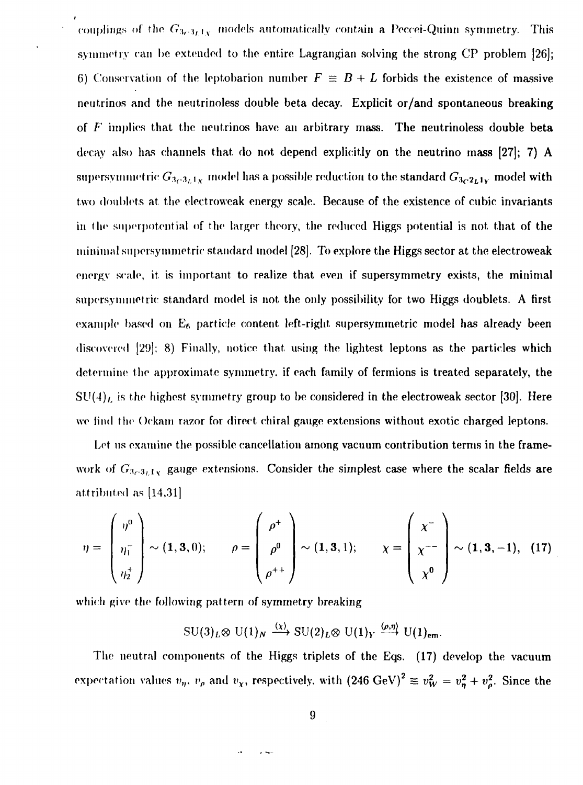couplings of the  $G_{3c\cdot 3_L1_X}$  models automatically contain a Peccei-Quinn symmetry. This symmetry can be extended to the entire Lagrangian solving the strong CP problem [26]; 6) Conservation of the leptobarion number  $F \equiv B + L$  forbids the existence of massive neutrinos and the neutrinoless double beta decay. Explicit or/and spontaneous breaking of *F* implies that the neutrinos have an arbitrary mass. The neutrinoless double beta decay also has channels that do not depend explicitly on the neutrino mass [27]; 7) A supersymmetric  $G_{3c^3L^1x}$  model has a possible reduction to the standard  $G_{3c^2L^1y}$  model with two doublets at the electroweak energy scale. Because of the existence of cubic invariants in the superpotential of the larger theory, the reduced Higgs potential is not that of the minimal supersymmetric standard model [28]. To explore the Higgs sector at the electroweak energy scale, it is important to realize that even if supersymmetry exists, the minimal supersynunetric standard model is not the only possibility for two Higgs doublets. A first example based on  $E_6$  particle content left-right supersymmetric model has already been discovered [29]; 8) Finally, notice that using the lightest leptons as the particles which determine the approximate symmetry, if each family of fermions is treated separately, the  $SU(4)_L$  is the highest symmetry group to be considered in the electroweak sector [30]. Here we find the Oekam razor for direct chiral gauge extensions without exotic charged leptons.

Let us examine the possible cancellation among vacuum contribution terms in the framework of  $G_{3\sim 3,1}$ , gauge extensions. Consider the simplest case where the scalar fields are attributed as [14,31]

$$
\eta = \begin{pmatrix} \eta^0 \\ \eta_1^- \\ \eta_2^+ \end{pmatrix} \sim (1,3,0); \qquad \rho = \begin{pmatrix} \rho^+ \\ \rho^0 \\ \rho^{++} \end{pmatrix} \sim (1,3,1); \qquad \chi = \begin{pmatrix} \chi^- \\ \chi^{--} \\ \chi^0 \end{pmatrix} \sim (1,3,-1), \quad (17)
$$

which give the following pattern of symmetry breaking

$$
\mathrm{SU}(3)_L \otimes \mathrm{U}(1)_N \xrightarrow{\langle \chi \rangle} \mathrm{SU}(2)_L \otimes \mathrm{U}(1)_Y \xrightarrow{\langle \rho, \eta \rangle} \mathrm{U}(1)_{\mathrm{em}}.
$$

The neutral components of the Higgs triplets of the Eqs. (17) develop the vacuum expectation values  $v_\eta$ ,  $v_\rho$  and  $v_\chi$ , respectively, with  $(246 \text{ GeV})^2 \equiv v_W^2 = v_\eta^2 + v_\rho^2$ . Since the

 $\sim$   $\sim$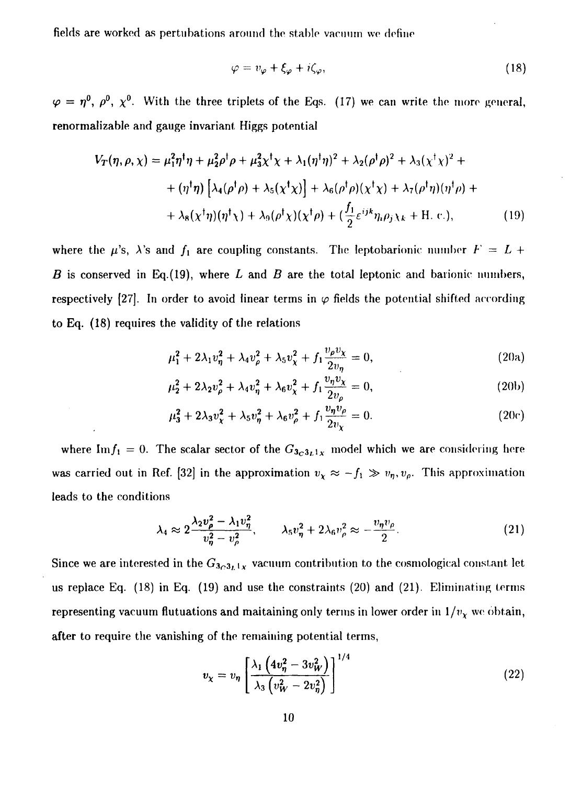fields are worked as pertubations around the stable vacuum we define

$$
\varphi = v_{\varphi} + \xi_{\varphi} + i\zeta_{\varphi},\tag{18}
$$

 $\varphi$  =  $\eta^0,~\rho^0,~\chi^0.~$  With the three triplets of the Eqs. (17) we can write the more general, renormalizable and gauge invariant Higgs potential

$$
V_T(\eta, \rho, \chi) = \mu_1^2 \eta^{\dagger} \eta + \mu_2^2 \rho^{\dagger} \rho + \mu_3^2 \chi^{\dagger} \chi + \lambda_1 (\eta^{\dagger} \eta)^2 + \lambda_2 (\rho^{\dagger} \rho)^2 + \lambda_3 (\chi^{\dagger} \chi)^2 +
$$
  
+  $(\eta^{\dagger} \eta) \left[ \lambda_4 (\rho^{\dagger} \rho) + \lambda_5 (\chi^{\dagger} \chi) \right] + \lambda_6 (\rho^{\dagger} \rho) (\chi^{\dagger} \chi) + \lambda_7 (\rho^{\dagger} \eta) (\eta^{\dagger} \rho) +$   
+  $\lambda_8 (\chi^{\dagger} \eta) (\eta^{\dagger} \chi) + \lambda_9 (\rho^{\dagger} \chi) (\chi^{\dagger} \rho) + (\frac{f_1}{2} \varepsilon^{ijk} \eta_i \rho_j \chi_k + \text{H. c.}),$  (19)

where the  $\mu$ 's,  $\lambda$ 's and  $f_1$  are coupling constants. The leptobarionic number  $F = L +$ *B* is conserved in Eq.(19), where *L* and *B* are the total leptonic and barionic numbers, respectively [27]. In order to avoid linear terms in  $\varphi$  fields the potential shifted according to Eq. (18) requires the validity of the relations

$$
\mu_1^2 + 2\lambda_1 v_\eta^2 + \lambda_4 v_\rho^2 + \lambda_5 v_\chi^2 + f_1 \frac{v_\rho v_\chi}{2v_\eta} = 0,
$$
\n(20a)

$$
\mu_2^2 + 2\lambda_2 v_\rho^2 + \lambda_4 v_\eta^2 + \lambda_6 v_\chi^2 + f_1 \frac{v_\eta v_\chi}{2v_\rho} = 0,
$$
\n(20b)

$$
\mu_3^2 + 2\lambda_3 v_\chi^2 + \lambda_5 v_\eta^2 + \lambda_6 v_\rho^2 + f_1 \frac{v_\eta v_\rho}{2v_\chi} = 0.
$$
 (20c)

where Im $f_1 = 0$ . The scalar sector of the  $G_{3_C 3_L 1_X}$  model which we are considering here was carried out in Ref. [32] in the approximation  $v_x \approx -f_1 \gg v_{\eta}, v_{\rho}$ . This approximation leads to the conditions

$$
\lambda_4 \approx 2 \frac{\lambda_2 v_\rho^2 - \lambda_1 v_\eta^2}{v_\eta^2 - v_\rho^2}, \qquad \lambda_5 v_\eta^2 + 2 \lambda_6 v_\rho^2 \approx -\frac{v_\eta v_\rho}{2}.
$$
 (21)

Since we are interested in the  $G_{3c3}$ ,  $\chi$  vacuum contribution to the cosmological constant let us replace Eq. (18) in Eq. (19) and use the constraints (20) and (21). Eliminating terms representing vacuum flutuations and maitaining only terms in lower order in  $1/v_x$  we obtain, after to require the vanishing of the remaining potential terms,

$$
v_{\chi} = v_{\eta} \left[ \frac{\lambda_1 \left( 4v_{\eta}^2 - 3v_{W}^2 \right)}{\lambda_3 \left( v_{W}^2 - 2v_{\eta}^2 \right)} \right]^{1/4} \tag{22}
$$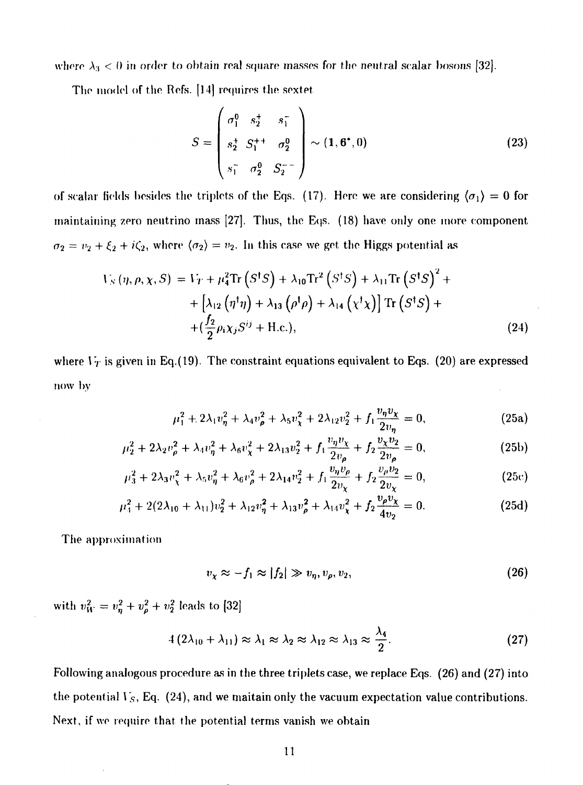where  $\lambda_3$  < 0 in order to obtain real square masses for the neutral scalar bosons [32].

The model of the Refs. [14] requires the sextet

$$
S = \begin{pmatrix} \sigma_1^0 & s_2^+ & s_1^- \\ s_2^+ & S_1^{++} & \sigma_2^0 \\ s_1^- & \sigma_2^0 & S_2^{--} \end{pmatrix} \sim (1, 6^*, 0)
$$
 (23)

of scalar fields besides the triplets of the Eqs. (17). Here we are considering  $\langle \sigma_1 \rangle = 0$  for maintaining zero neutrino mass [27]. Thus, the Eqs. (18) have only one more component  $\sigma_2 = v_2 + \xi_2 + i\zeta_2$ , where  $\langle \sigma_2 \rangle = v_2$ . In this case we get the Higgs potential as

$$
V_S(\eta, \rho, \chi, S) = V_T + \mu_4^2 \text{Tr} (S^{\dagger}S) + \lambda_{10} \text{Tr}^2 (S^{\dagger}S) + \lambda_{11} \text{Tr} (S^{\dagger}S)^2 +
$$
  
+ 
$$
[\lambda_{12} (\eta^{\dagger} \eta) + \lambda_{13} (\rho^{\dagger} \rho) + \lambda_{14} (\chi^{\dagger} \chi)] \text{Tr} (S^{\dagger}S) +
$$
  
+ 
$$
(\frac{f_2}{2} \rho_i \chi_j S^{ij} + \text{H.c.}),
$$
 (24)

where  $V_T$  is given in Eq.(19). The constraint equations equivalent to Eqs. (20) are expressed now bv

$$
\mu_1^2 + 2\lambda_1 v_\eta^2 + \lambda_4 v_\rho^2 + \lambda_5 v_\chi^2 + 2\lambda_{12} v_2^2 + f_1 \frac{v_\eta v_\chi}{2v_\eta} = 0,
$$
 (25a)

$$
\mu_2^2 + 2\lambda_2 v_\rho^2 + \lambda_4 v_\eta^2 + \lambda_6 v_\chi^2 + 2\lambda_{13} v_2^2 + f_1 \frac{v_\eta v_\chi}{2v_\rho} + f_2 \frac{v_\chi v_2}{2v_\rho} = 0,
$$
 (25b)

$$
\mu_3^2 + 2\lambda_3 v_\chi^2 + \lambda_5 v_\eta^2 + \lambda_6 v_\rho^2 + 2\lambda_{14} v_2^2 + f_1 \frac{v_\eta v_\rho}{2v_\chi} + f_2 \frac{v_\rho v_2}{2v_\chi} = 0,
$$
\n(25c)

$$
\mu_4^2 + 2(2\lambda_{10} + \lambda_{11})v_2^2 + \lambda_{12}v_\eta^2 + \lambda_{13}v_\rho^2 + \lambda_{14}v_\chi^2 + f_2\frac{v_\rho v_\chi}{4v_2} = 0.
$$
 (25d)

The approximation

$$
v_{\chi} \approx -f_1 \approx |f_2| \gg v_{\eta}, v_{\rho}, v_2,
$$
\n(26)

with  $v_W^2 = v_n^2 + v_o^2 + v_2^2$  leads to [32]

$$
4(2\lambda_{10} + \lambda_{11}) \approx \lambda_1 \approx \lambda_2 \approx \lambda_{12} \approx \lambda_{13} \approx \frac{\lambda_4}{2}.
$$
 (27)

Following analogous procedure as in the three triplets case, we replace Eqs. (26) and (27) into the potential *\* 5, Eq. (24), and we maitain only the vacuum expectation value contributions. Next, if we require that the potential terms vanish we obtain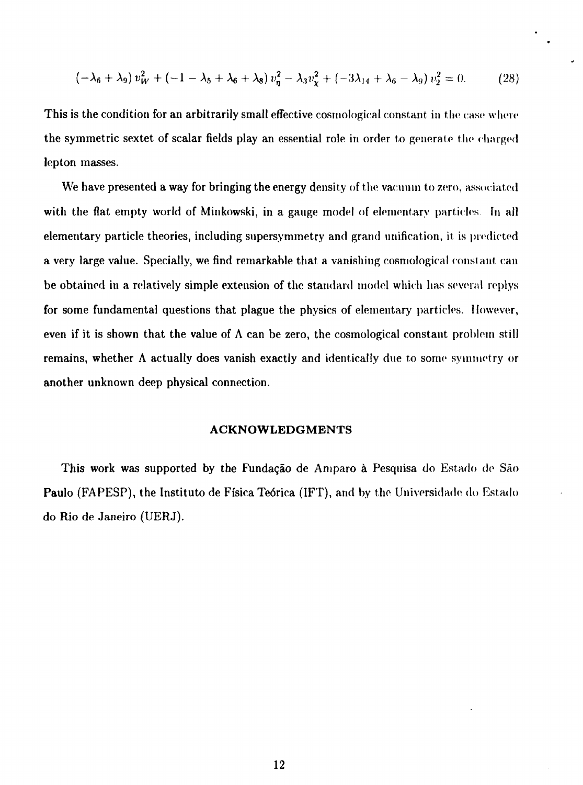$$
(-\lambda_6 + \lambda_9) v_W^2 + (-1 - \lambda_5 + \lambda_6 + \lambda_8) v_\eta^2 - \lambda_3 v_\chi^2 + (-3\lambda_{14} + \lambda_6 - \lambda_9) v_2^2 = 0. \tag{28}
$$

This is the condition for an arbitrarily small effective cosmological constant in the case where the symmetric sextet of scalar fields play an essential role in order to generate the charged lepton masses.

We have presented a way for bringing the energy density of the vacuum to zero, associated with the flat empty world of Minkowski, in a gauge model of elementary particles. In all elementary particle theories, including supersymmetry and grand unification, it is predicted a very large value. Specially, we find remarkable that a vanishing cosmological constant can be obtained in a relatively simple extension of the standard model which has several replys for some fundamental questions that plague the physics of elementary particles. However, even if it is shown that the value of  $\Lambda$  can be zero, the cosmological constant problem still remains, whether A actually does vanish exactly and identically due to some symmetry or another unknown deep physical connection.

#### **ACKNOWLEDGMENTS**

This work was supported by the Fundagao de Amparo a Pesquisa do Estado de Sao Paulo (FAPESP), the Instituto de Ffsica Te6rica (IFT), and by the Universidade do Estado do Rio de Janeiro (UERJ).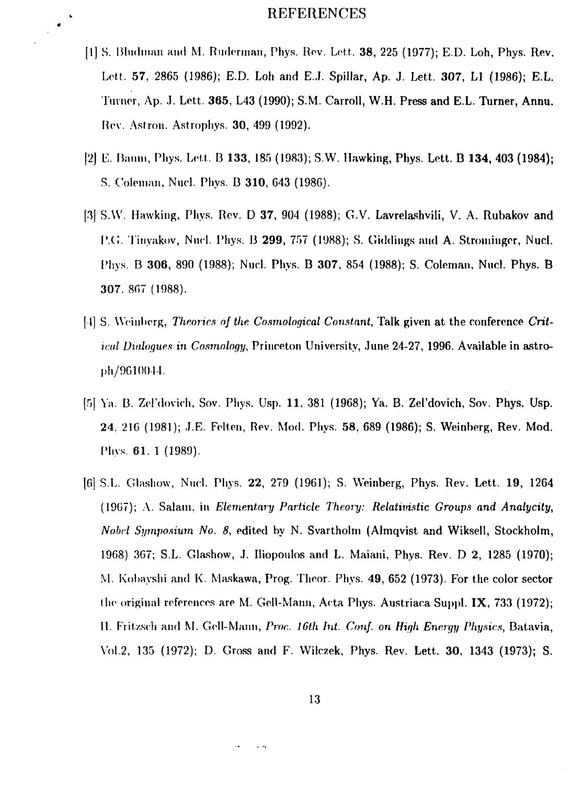#### REFERENCES

 $\bullet$ 

- [1] S. Bludman and M. Ruderman, Phys. Rev. Lett. **38**, 225 (1977); E.D. Loh, Phys. Rev. Lett. **57,** 2865 (1986); E.D. Loh and E.J. Spillar, Ap. J. Lett. **307.** L1 (1986); E.L. Turner, Ap. J. Lett. **365,** L43 (1990); S.M. Carroll, W.H. Press and E.L. Turner, **Annu.** ROY. Astron. Astrophys. **30,** 499 (1992).
- |2) D. Baum, Phys. Lett. 13 **133,** 185 (1983); S.W. Hawking, Phys. Lett. **B 134, 403 (1984);** S. Colonmii, Nucl. Phys. B **310,** 643 (1986).
- [3] S.VV. Hawking, Phys. Rev. D **37,** 904 (1988); G.V. Lavrelashvili, V. A. Rubakov and P.G. Tinyakov, Nucl. Phy.s. B **299,** 757 (1988); S. Giddings and A. Strominger, Nucl. Phys. B **306,** 890 (1988); Nucl. Phys. B **307,** 854 (1988); S. Coleman, Nucl. Phys. B 307. 807 (1988).
- [1] S. Weinberg, *Theories of the. Cosmological Constant,* Talk given at the conference *Critical Dialogues in Cosmology,* Princeton University, June 24-27, 1996. Available in astroph/9610044.
- [5] Ya. B. Zel'dovieh, Sov. Phys. Usp. **11,** 381 (1968); Ya. B. Zel'dovich, Sov. Phys. Usp. 24. 216 (1981); .I.E. Felten, Rev. Mod. Phys. **58,** 689 (1986); S. Weinberg, Rev. Mod. Phys. 61. 1 (1989).
- [C] S.L. Glashow, Nucl. Phys. **22,** 279 (1961); S. Weinberg, Phys. Rev. Lett. **19,** 1264 (1967); A. Salam, in *Elementary Particle Theory: Relativistic Groups and Analycity*, *Nobel Symposium No. 8,* edited by N. Svartholm (Almqvist and Wiksell, Stockholm, 1968) 367; S.L. Glashow, .1. Iliopoulos and L. Maiani, Phys. Rev. D 2, 1285 (1970); M. Kobayshi and K. Maskawa, Prog. Theor. Phys. **49,** 652 (1973). For the color sector the original references are M. Gell-Mann, Acta Phys. Austriaca Suppl. IX, 733 (1972); 11. Frit/sell and M. Gell-Mann, *Proc. 16th Int. Conf. on High Energy Physics,* Batavia, Vol.2, 135 (1972); D. Gross and F. VVilczek, Phys. Rev. Lett. **30,** 1343 (1973); S.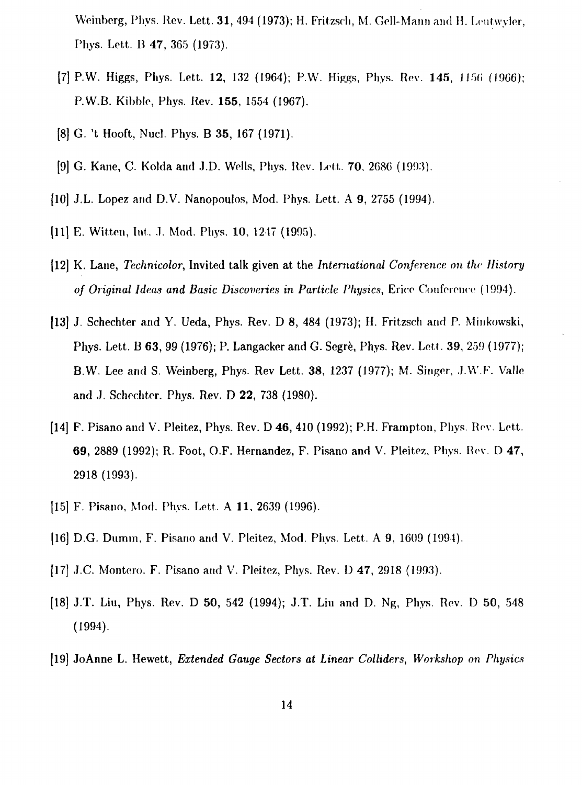Weinbcrg, Phys. Rev. Lett. **31,** 494 (1973); H. Fritzsrh, M. Cell-Mann and H. Lcutwyler, Phys. Lett. B 47, 365 (1973).

- [7] P.W. Higgs, Phys. Lett. **12**, 132 (1964); P.W. Higgs, Phys. Rev. **145**, 1156 (1966); P.W.B. Kibble, Phys. Rev. **155,** 1554 (1967).
- [8] G. 't Hooft, Nucl. Phys. B **35,** 167 (1971).
- [9] G. Kane, C. Kolda and J.D. Wells, Phys. Rev. Lett. 70, 2686 (1993).
- [10] J.L. Lopez and D.V. Nanopoulos, Mod. Phys. Lett. A 9, 2755 (1994).
- [11] E. Witten, Int. J. Mod. Phys. 10, 1247 (1995).
- [12] K. Lane, *Technicolor,* Invited talk given at the *International Conference on the History* of Original Ideas and Basic Discoveries in Particle Physics, Erice Conference (1994).
- **[13] J.** Schechter and Y. Ueda, Phys. Rev. D 8, 484 (1973); H. Fritzsch and P. Minkowski, Phys. Lett. B 63, 99 (1976); P. Langacker and G. Segre, Phys. Rev. Lett. 39, 259 (1977); B.W. Lee and S. Weinberg, Phys. Rev Lett. 38, 1237 (1977); M. Singer, J.W.F. Valle and J. Schechter. Phys. Rev. D 22, 738 (1980).
- **[14]** F. Pisano and V. Pleitez, Phys. Rev. D 46, 410 (1992); P.H. Fratnpton, Phys. Rev. Lett. 69, 2889 (1992); R. Foot, O.F. Hernandez, F. Pisano and V. Pleitez, Phys. Rev. D 47, 2918 (1993).
- [15] F. Pisano, Mod. Phys. Lett. A 11, 2639 (1996).
- [16] D.G. Dumm, F. Pisano and V. Pleitez, Mod. Phys. Lett. A 9, 1609 (1994).
- [17] J.C. Montero. F. Pisano and V. Pleitez, Phys. Rev. D 47, 2918 (1993).
- [18] J.T. Liu, Phys. Rev. D 50, 542 (1994); J.T. Liu and D. Ng, Phys. Rev. D 50, 548 (1994).
- [19] **JoAnne** L. Hewett, *Extended Gauge Sectors at Linear Colliders, Workshop on Physics*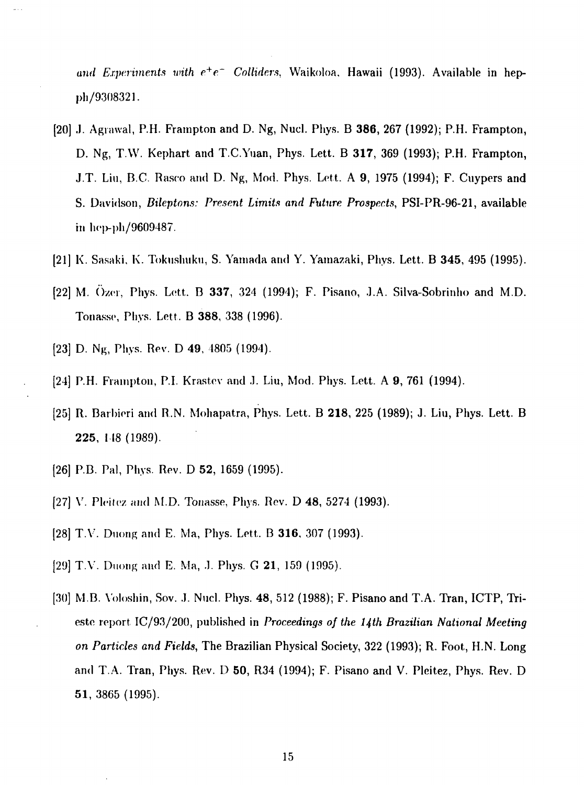and Experiments with  $e^+e^-$  Colliders, Waikoloa. Hawaii (1993). Available in heppli/9308321.

- [20] J. Agrawal, P.H. Frampton and D. Ng, Nucl. Phys. B **386,** 267 (1992); P.H. Frampton, D. Ng, T.W. Kephart and T.C.Yuan, Phys. Lett. B **317,** 369 (1993); P.H. Frampton, J.T. Liu, B.C. Rasco and D. Ng, Mod. Phys. Lett. A 9, 1975 (1994); F. Cuypers and S. Davidson, *Dileptons: Present Limits and Future Prospects,* PSI-PR-96-21, available in hep-ph/9609487.
- [21] K. Sasaki, K. Tokiislmku, S. Yamada and Y. Yamazaki, Phys. Lett. B **345,** 495 (1995).
- [22] M. ()/(•!•, Phys. Lett. B **337,** 324 (1994); F. Pisano, J.A. Silva-Sobrinho and M.D. Tonassc, Phys. Lett. B **388,** 338 (1996).
- [23] D. Ng, Phys. Rev. D 49, 4805 (1994).
- [24] P.H. Fiampton, P.I. Krastev and J. Liu, Mod. Phys. Lett. A 9, 761 (1994).
- [25] R. Barbieri and R.N. Mohapatra, Phys. Lett. B **218,** 225 (1989); J. Liu, Phys. Lett. B **225,** 148 (1989).
- [26] P.B. Pal, Phys. Rev. D **52,** 1659 (1995).
- [27] V. Pleitez and M.D. Tonasse, Phys. Rev. D 48, 5274 (1993).
- [28] T.Y. Duong and E. Ma, Phys. Lett. B **316,** 307 (1993).
- [29] T.Y. Duong and E. Ma, .1. Phys. G **21,** 159 (1995).
- [30] M.B. Voloshin, Sov. J. Nucl. Phys. 48, 512 (1988); F. Pisano and T.A. Tran, ICTP, Trieste report IC/93/200, published in *Proceedings of the 14th Brazilian National Meeting on Particles and Fields,* The Brazilian Physical Society, 322 (1993); R. Foot, H.N. Long and T.A. Tran, Phys. Rev. D 50, R34 (1994); F. Pisano and V. Pleitez, Phys. Rev. D **51,** 3865 (1995).